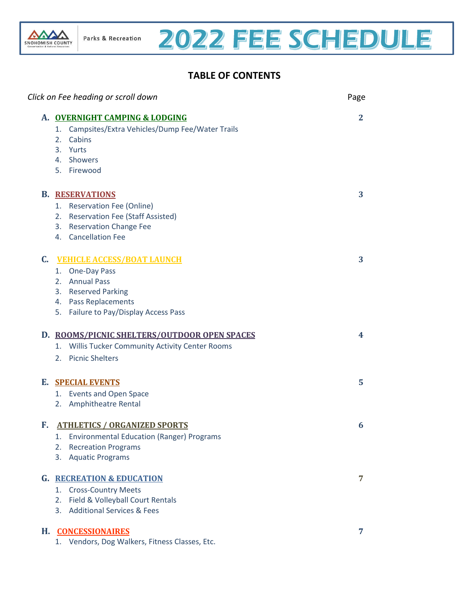

# 2022 FEE SCHEDULE

### <span id="page-0-0"></span>**TABLE OF CONTENTS**

|    | Click on Fee heading or scroll down                  | Page         |
|----|------------------------------------------------------|--------------|
|    | A. OVERNIGHT CAMPING & LODGING                       | $\mathbf{2}$ |
|    | Campsites/Extra Vehicles/Dump Fee/Water Trails<br>1. |              |
|    | Cabins<br>2.                                         |              |
|    | 3. Yurts                                             |              |
|    | 4. Showers                                           |              |
|    | 5. Firewood                                          |              |
|    | <b>B. RESERVATIONS</b>                               | 3            |
|    | 1. Reservation Fee (Online)                          |              |
|    | 2. Reservation Fee (Staff Assisted)                  |              |
|    | 3. Reservation Change Fee                            |              |
|    | 4. Cancellation Fee                                  |              |
| C. | <b>VEHICLE ACCESS/BOAT LAUNCH</b>                    | 3            |
|    | 1. One-Day Pass                                      |              |
|    | 2. Annual Pass                                       |              |
|    | 3. Reserved Parking                                  |              |
|    | 4. Pass Replacements                                 |              |
|    | 5. Failure to Pay/Display Access Pass                |              |
|    | D. ROOMS/PICNIC SHELTERS/OUTDOOR OPEN SPACES         | 4            |
|    | Willis Tucker Community Activity Center Rooms<br>1.  |              |
|    | 2. Picnic Shelters                                   |              |
|    | <b>E. SPECIAL EVENTS</b>                             | 5            |
|    | 1. Events and Open Space                             |              |
|    | 2. Amphitheatre Rental                               |              |
| F. | <b>ATHLETICS / ORGANIZED SPORTS</b>                  | 6            |
|    | 1. Environmental Education (Ranger) Programs         |              |
|    | <b>Recreation Programs</b><br>2.                     |              |
|    | <b>Aquatic Programs</b><br>3.                        |              |
|    | <b>G. RECREATION &amp; EDUCATION</b>                 | 7            |
|    | <b>Cross-Country Meets</b><br>1.                     |              |
|    | Field & Volleyball Court Rentals<br>2.               |              |
|    | <b>Additional Services &amp; Fees</b><br>3.          |              |
|    | H. CONCESSIONAIRES                                   | 7            |
|    | Vendors, Dog Walkers, Fitness Classes, Etc.<br>1.    |              |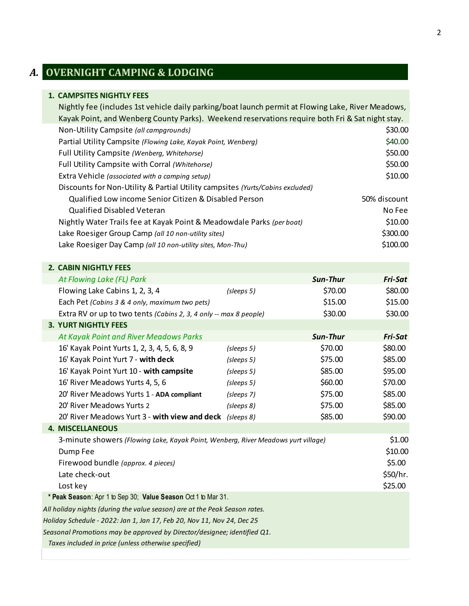# <span id="page-1-0"></span>*A.* **OVERNIGHT CAMPING & LODGING**

#### **1. CAMPSITES NIGHTLY FEES**

| Nightly fee (includes 1st vehicle daily parking/boat launch permit at Flowing Lake, River Meadows, |              |
|----------------------------------------------------------------------------------------------------|--------------|
| Kayak Point, and Wenberg County Parks). Weekend reservations require both Fri & Sat night stay.    |              |
| Non-Utility Campsite (all campgrounds)                                                             | \$30.00      |
| Partial Utility Campsite (Flowing Lake, Kayak Point, Wenberg)                                      | \$40.00      |
| Full Utility Campsite (Wenberg, Whitehorse)                                                        | \$50.00      |
| Full Utility Campsite with Corral (Whitehorse)                                                     | \$50.00      |
| Extra Vehicle (associated with a camping setup)                                                    | \$10.00      |
| Discounts for Non-Utility & Partial Utility campsites (Yurts/Cabins excluded)                      |              |
| Qualified Low income Senior Citizen & Disabled Person                                              | 50% discount |
| <b>Qualified Disabled Veteran</b>                                                                  | No Fee       |
| Nightly Water Trails fee at Kayak Point & Meadowdale Parks (per boat)                              | \$10.00      |
| Lake Roesiger Group Camp (all 10 non-utility sites)                                                | \$300.00     |
| Lake Roesiger Day Camp (all 10 non-utility sites, Mon-Thu)                                         | \$100.00     |

#### **2. CABIN NIGHTLY FEES**

| At Flowing Lake (FL) Park                                                                                                                                         |            | <b>Sun-Thur</b> | <b>Fri-Sat</b>                                     |
|-------------------------------------------------------------------------------------------------------------------------------------------------------------------|------------|-----------------|----------------------------------------------------|
| Flowing Lake Cabins 1, 2, 3, 4                                                                                                                                    | (sleeps 5) | \$70.00         | \$80.00                                            |
| Each Pet (Cabins 3 & 4 only, maximum two pets)                                                                                                                    |            | \$15.00         | \$15.00                                            |
| Extra RV or up to two tents (Cabins 2, 3, 4 only -- max 8 people)                                                                                                 |            | \$30.00         | \$30.00                                            |
| <b>3. YURT NIGHTLY FEES</b>                                                                                                                                       |            |                 |                                                    |
| At Kayak Point and River Meadows Parks                                                                                                                            |            | <b>Sun-Thur</b> | <b>Fri-Sat</b>                                     |
| 16' Kayak Point Yurts 1, 2, 3, 4, 5, 6, 8, 9                                                                                                                      | (sleeps 5) | \$70.00         | \$80.00                                            |
| 16' Kayak Point Yurt 7 - with deck                                                                                                                                | (sleeps 5) | \$75.00         | \$85.00                                            |
| 16' Kayak Point Yurt 10 - with campsite                                                                                                                           | (sleeps 5) | \$85.00         | \$95.00                                            |
| 16' River Meadows Yurts 4, 5, 6                                                                                                                                   | (sleeps 5) | \$60.00         | \$70.00                                            |
| 20' River Meadows Yurts 1 - ADA compliant                                                                                                                         | (sleeps 7) | \$75.00         | \$85.00                                            |
| 20' River Meadows Yurts 2                                                                                                                                         | (sleeps 8) | \$75.00         | \$85.00                                            |
| 20' River Meadows Yurt 3 - with view and deck                                                                                                                     | (sleeps 8) | \$85.00         | \$90.00                                            |
| <b>4. MISCELLANEOUS</b>                                                                                                                                           |            |                 |                                                    |
| 3-minute showers (Flowing Lake, Kayak Point, Wenberg, River Meadows yurt village)<br>Dump Fee<br>Firewood bundle (approx. 4 pieces)<br>Late check-out<br>Lost key |            |                 | \$1.00<br>\$10.00<br>\$5.00<br>\$50/hr.<br>\$25.00 |
| * Peak Season: Apr 1 to Sep 30; Value Season Oct 1 to Mar 31.                                                                                                     |            |                 |                                                    |
| All holiday nights (during the value season) are at the Peak Season rates.                                                                                        |            |                 |                                                    |
| Holiday Schedule - 2022: Jan 1, Jan 17, Feb 20, Nov 11, Nov 24, Dec 25                                                                                            |            |                 |                                                    |
| Seasonal Promotions may be approved by Director/designee; identified Q1.                                                                                          |            |                 |                                                    |
| Taxes included in price (unless otherwise specified)                                                                                                              |            |                 |                                                    |
|                                                                                                                                                                   |            |                 |                                                    |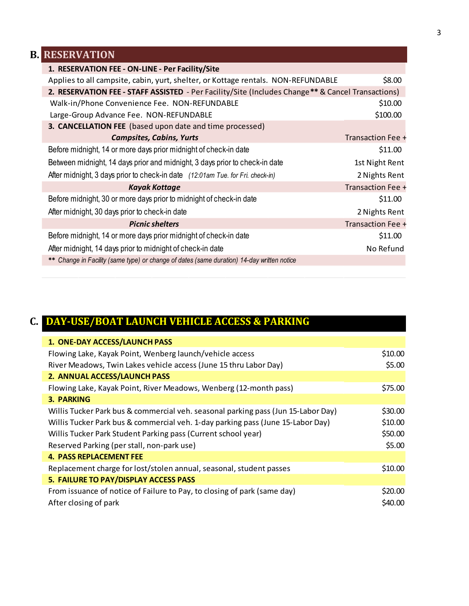## **B. RESERVATION**

<span id="page-2-0"></span>

| 1. RESERVATION FEE - ON-LINE - Per Facility/Site                                                  |                   |
|---------------------------------------------------------------------------------------------------|-------------------|
| Applies to all campsite, cabin, yurt, shelter, or Kottage rentals. NON-REFUNDABLE                 | \$8.00            |
| 2. RESERVATION FEE - STAFF ASSISTED - Per Facility/Site (Includes Change** & Cancel Transactions) |                   |
| Walk-in/Phone Convenience Fee. NON-REFUNDABLE                                                     | \$10.00           |
| Large-Group Advance Fee. NON-REFUNDABLE                                                           | \$100.00          |
| 3. CANCELLATION FEE (based upon date and time processed)                                          |                   |
| <b>Campsites, Cabins, Yurts</b>                                                                   | Transaction Fee + |
| Before midnight, 14 or more days prior midnight of check-in date                                  | \$11.00           |
| Between midnight, 14 days prior and midnight, 3 days prior to check-in date                       | 1st Night Rent    |
| After midnight, 3 days prior to check-in date (12:01am Tue. for Fri. check-in)                    | 2 Nights Rent     |
| <b>Kayak Kottage</b>                                                                              | Transaction Fee + |
| Before midnight, 30 or more days prior to midnight of check-in date                               | \$11.00           |
| After midnight, 30 days prior to check-in date                                                    | 2 Nights Rent     |
| <b>Picnic shelters</b>                                                                            | Transaction Fee + |
| Before midnight, 14 or more days prior midnight of check-in date                                  | \$11.00           |
| After midnight, 14 days prior to midnight of check-in date                                        | No Refund         |
| ** Change in Facility (same type) or change of dates (same duration) 14-day written notice        |                   |

### <span id="page-2-1"></span>**C. DAY-USE/BOAT LAUNCH VEHICLE ACCESS & PARKING**

| 1. ONE-DAY ACCESS/LAUNCH PASS                                                     |         |
|-----------------------------------------------------------------------------------|---------|
| Flowing Lake, Kayak Point, Wenberg launch/vehicle access                          | \$10.00 |
| River Meadows, Twin Lakes vehicle access (June 15 thru Labor Day)                 | \$5.00  |
| 2. ANNUAL ACCESS/LAUNCH PASS                                                      |         |
| Flowing Lake, Kayak Point, River Meadows, Wenberg (12-month pass)                 | \$75.00 |
| <b>3. PARKING</b>                                                                 |         |
| Willis Tucker Park bus & commercial veh. seasonal parking pass (Jun 15-Labor Day) | \$30.00 |
| Willis Tucker Park bus & commercial veh. 1-day parking pass (June 15-Labor Day)   | \$10.00 |
| Willis Tucker Park Student Parking pass (Current school year)                     | \$50.00 |
| Reserved Parking (per stall, non-park use)                                        | \$5.00  |
| <b>4. PASS REPLACEMENT FEE</b>                                                    |         |
| Replacement charge for lost/stolen annual, seasonal, student passes               | \$10.00 |
| 5. FAILURE TO PAY/DISPLAY ACCESS PASS                                             |         |
| From issuance of notice of Failure to Pay, to closing of park (same day)          | \$20.00 |
| After closing of park                                                             | \$40.00 |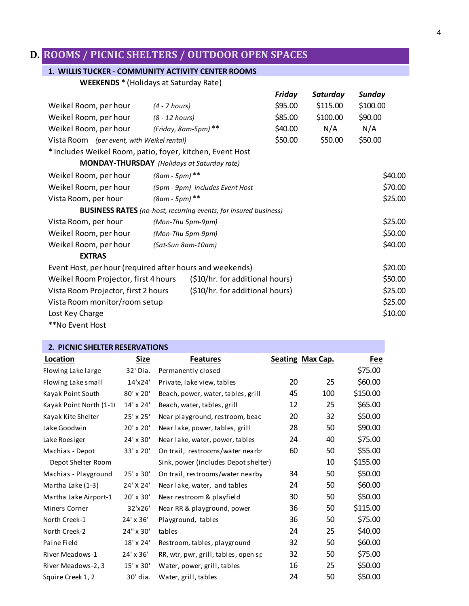### <span id="page-3-0"></span>**D. ROOMS / PICNIC SHELTERS / OUTDOOR OPEN SPACES**

#### **1. WILLIS TUCKER - COMMUNITY ACTIVITY CENTER ROOMS**

**WEEKENDS \*** (Holidays at Saturday Rate)

|                                                           |                      |                                                                         | Friday  | Saturday | Sunday   |  |
|-----------------------------------------------------------|----------------------|-------------------------------------------------------------------------|---------|----------|----------|--|
| Weikel Room, per hour                                     | $(4 - 7 hours)$      |                                                                         | \$95.00 | \$115.00 | \$100.00 |  |
| Weikel Room, per hour                                     | $(8 - 12$ hours)     |                                                                         | \$85.00 | \$100.00 | \$90.00  |  |
| Weikel Room, per hour                                     | (Friday, 8am-5pm) ** |                                                                         | \$40.00 | N/A      | N/A      |  |
| Vista Room (per event, with Weikel rental)                |                      |                                                                         | \$50.00 | \$50.00  | \$50.00  |  |
| * Includes Weikel Room, patio, foyer, kitchen, Event Host |                      |                                                                         |         |          |          |  |
| <b>MONDAY-THURSDAY</b> (Holidays at Saturday rate)        |                      |                                                                         |         |          |          |  |
| Weikel Room, per hour                                     | $(8am - 5pm)^{**}$   |                                                                         |         |          | \$40.00  |  |
| Weikel Room, per hour                                     |                      | (5pm - 9pm) includes Event Host                                         |         |          | \$70.00  |  |
| Vista Room, per hour                                      | $(8am - 5pm)^{**}$   |                                                                         |         |          | \$25.00  |  |
|                                                           |                      | <b>BUSINESS RATES</b> (no-host, recurring events, for insured business) |         |          |          |  |
| Vista Room, per hour                                      | (Mon-Thu 5pm-9pm)    |                                                                         |         |          | \$25.00  |  |
| Weikel Room, per hour                                     | (Mon-Thu 5pm-9pm)    |                                                                         |         |          | \$50.00  |  |
| Weikel Room, per hour                                     | (Sat-Sun 8am-10am)   |                                                                         |         |          | \$40.00  |  |
| <b>EXTRAS</b>                                             |                      |                                                                         |         |          |          |  |
| Event Host, per hour (required after hours and weekends)  |                      |                                                                         |         |          | \$20.00  |  |
| Weikel Room Projector, first 4 hours                      |                      | (\$10/hr. for additional hours)                                         |         |          | \$50.00  |  |
| Vista Room Projector, first 2 hours                       |                      | (\$10/hr. for additional hours)                                         |         |          | \$25.00  |  |
| Vista Room monitor/room setup                             |                      |                                                                         |         |          | \$25.00  |  |
| Lost Key Charge                                           |                      |                                                                         |         |          | \$10.00  |  |
| **No Event Host                                           |                      |                                                                         |         |          |          |  |

| 2. PICNIC SHELTER RESERVATIONS |                  |                                      |    |                  |          |  |  |
|--------------------------------|------------------|--------------------------------------|----|------------------|----------|--|--|
| Location                       | Size             | <b>Features</b>                      |    | Seating Max Cap. | Fee      |  |  |
| Flowing Lake large             | 32' Dia.         | Permanently closed                   |    |                  | \$75.00  |  |  |
| Flowing Lake small             | 14'x24'          | Private, lake view, tables           | 20 | 25               | \$60.00  |  |  |
| Kayak Point South              | 80' x 20'        | Beach, power, water, tables, grill   | 45 | 100              | \$150.00 |  |  |
| Kayak Point North (1-1         | 14' x 24'        | Beach, water, tables, grill          | 12 | 25               | \$65.00  |  |  |
| Kayak Kite Shelter             | 25' x 25'        | Near playground, restroom, beac      | 20 | 32               | \$50.00  |  |  |
| Lake Goodwin                   | 20' x 20'        | Near lake, power, tables, grill      | 28 | 50               | \$90.00  |  |  |
| Lake Roesiger                  | 24' x 30'        | Near lake, water, power, tables      | 24 | 40               | \$75.00  |  |  |
| Machias - Depot                | 33' x 20'        | On trail, restrooms/water nearb      | 60 | 50               | \$55.00  |  |  |
| Depot Shelter Room             |                  | Sink, power (includes Depot shelter) |    | 10               | \$155.00 |  |  |
| Machias - Playground           | 25' x 30'        | On trail, restrooms/water nearby     | 34 | 50               | \$50.00  |  |  |
| Martha Lake (1-3)              | 24' X 24'        | Near lake, water, and tables         | 24 | 50               | \$60.00  |  |  |
| Martha Lake Airport-1          | 20' x 30'        | Near restroom & playfield            | 30 | 50               | \$50.00  |  |  |
| Miners Corner                  | 32'x26'          | Near RR & playground, power          | 36 | 50               | \$115.00 |  |  |
| North Creek-1                  | 24' x 36'        | Playground, tables                   | 36 | 50               | \$75.00  |  |  |
| North Creek-2                  | 24" x 30'        | tables                               | 24 | 25               | \$40.00  |  |  |
| Paine Field                    | $18' \times 24'$ | Restroom, tables, playground         | 32 | 50               | \$60.00  |  |  |
| River Meadows-1                | 24' x 36'        | RR, wtr, pwr, grill, tables, open sp | 32 | 50               | \$75.00  |  |  |
| River Meadows-2, 3             | 15' x 30'        | Water, power, grill, tables          | 16 | 25               | \$50.00  |  |  |
| Squire Creek 1, 2              | 30' dia.         | Water, grill, tables                 | 24 | 50               | \$50.00  |  |  |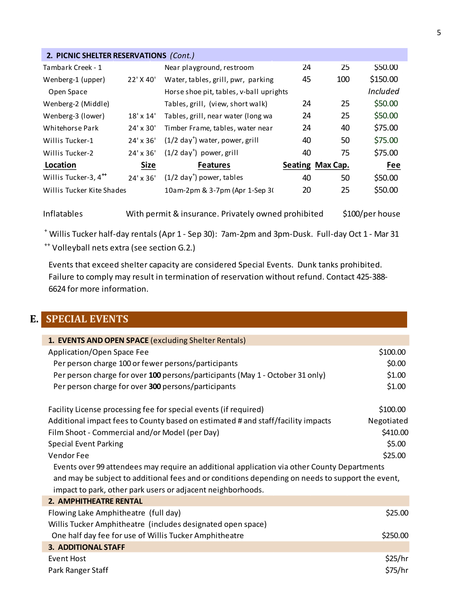<span id="page-4-0"></span>

| 2. PICNIC SHELTER RESERVATIONS (Cont.) |                  |                                           |    |                  |                 |  |
|----------------------------------------|------------------|-------------------------------------------|----|------------------|-----------------|--|
| Tambark Creek - 1                      |                  | Near playground, restroom                 | 24 | 25               | \$50.00         |  |
| Wenberg-1 (upper)                      | 22' X 40'        | Water, tables, grill, pwr, parking        | 45 | 100              | \$150.00        |  |
| Open Space                             |                  | Horse shoe pit, tables, v-ball uprights   |    |                  | <i>Included</i> |  |
| Wenberg-2 (Middle)                     |                  | Tables, grill, (view, short walk)         | 24 | 25               | \$50.00         |  |
| Wenberg-3 (lower)                      | $18' \times 14'$ | Tables, grill, near water (long wa        | 24 | 25               | \$50.00         |  |
| Whitehorse Park                        | $24' \times 30'$ | Timber Frame, tables, water near          | 24 | 40               | \$75.00         |  |
| Willis Tucker-1                        | $24' \times 36'$ | $(1/2 \text{ day}^+)$ water, power, grill | 40 | 50               | \$75.00         |  |
| Willis Tucker-2                        | $24' \times 36'$ | $(1/2 \text{ day}^+)$ power, grill        | 40 | 75               | \$75.00         |  |
| Location                               | <b>Size</b>      | <b>Features</b>                           |    | Seating Max Cap. | Fee             |  |
| Willis Tucker-3, 4 <sup>**</sup>       | 24' x 36'        | $(1/2 \text{ day}^+)$ power, tables       | 40 | 50               | \$50.00         |  |
| Willis Tucker Kite Shades              |                  | 10am-2pm & 3-7pm (Apr 1-Sep 3)            | 20 | 25               | \$50.00         |  |

Inflatables With permit & insurance. Privately owned prohibited \$100/per house

+ Willis Tucker half-day rentals (Apr 1 - Sep 30): 7am-2pm and 3pm-Dusk. Full-day Oct 1 - Mar 31  $^{++}$  Volleyball nets extra (see section G.2.)

Events that exceed shelter capacity are considered Special Events. Dunk tanks prohibited. Failure to comply may result in termination of reservation without refund. Contact 425-388-6624 for more information.

### **E. SPECIAL EVENTS**

| 1. EVENTS AND OPEN SPACE (excluding Shelter Rentals)                                             |            |
|--------------------------------------------------------------------------------------------------|------------|
| Application/Open Space Fee                                                                       | \$100.00   |
| Per person charge 100 or fewer persons/participants                                              | \$0.00     |
| Per person charge for over 100 persons/participants (May 1 - October 31 only)                    | \$1.00     |
| Per person charge for over 300 persons/participants                                              | \$1.00     |
| Facility License processing fee for special events (if required)                                 | \$100.00   |
| Additional impact fees to County based on estimated # and staff/facility impacts                 | Negotiated |
| Film Shoot - Commercial and/or Model (per Day)                                                   | \$410.00   |
| <b>Special Event Parking</b>                                                                     | \$5.00     |
| Vendor Fee                                                                                       | \$25.00    |
| Events over 99 attendees may require an additional application via other County Departments      |            |
| and may be subject to additional fees and or conditions depending on needs to support the event, |            |
| impact to park, other park users or adjacent neighborhoods.                                      |            |
| <b>2. AMPHITHEATRE RENTAL</b>                                                                    |            |
| Flowing Lake Amphitheatre (full day)                                                             | \$25.00    |
| Willis Tucker Amphitheatre (includes designated open space)                                      |            |
| One half day fee for use of Willis Tucker Amphitheatre                                           | \$250.00   |
| <b>3. ADDITIONAL STAFF</b>                                                                       |            |
| <b>Event Host</b>                                                                                | \$25/hr    |
| Park Ranger Staff                                                                                | \$75/hr    |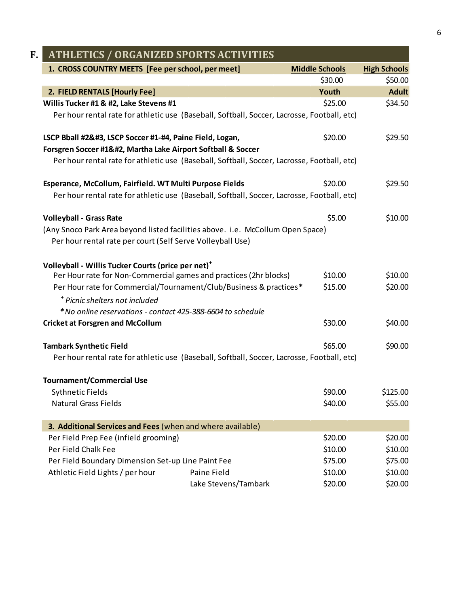<span id="page-5-1"></span><span id="page-5-0"></span>

| F.<br><b>ATHLETICS / ORGANIZED SPORTS ACTIVITIES</b>                                        |                      |                       |                     |  |
|---------------------------------------------------------------------------------------------|----------------------|-----------------------|---------------------|--|
| 1. CROSS COUNTRY MEETS [Fee per school, per meet]                                           |                      | <b>Middle Schools</b> | <b>High Schools</b> |  |
|                                                                                             |                      | \$30.00               | \$50.00             |  |
| 2. FIELD RENTALS [Hourly Fee]                                                               |                      | Youth                 | <b>Adult</b>        |  |
| Willis Tucker #1 & #2, Lake Stevens #1                                                      |                      | \$25.00               | \$34.50             |  |
| Per hour rental rate for athletic use (Baseball, Softball, Soccer, Lacrosse, Football, etc) |                      |                       |                     |  |
| LSCP Bball #2, LSCP Soccer #1-#4, Paine Field, Logan,                                      |                      | \$20.00               | \$29.50             |  |
| Forsgren Soccer #1, Martha Lake Airport Softball & Soccer                                  |                      |                       |                     |  |
| Per hour rental rate for athletic use (Baseball, Softball, Soccer, Lacrosse, Football, etc) |                      |                       |                     |  |
| Esperance, McCollum, Fairfield. WT Multi Purpose Fields                                     |                      | \$20.00               | \$29.50             |  |
| Per hour rental rate for athletic use (Baseball, Softball, Soccer, Lacrosse, Football, etc) |                      |                       |                     |  |
| <b>Volleyball - Grass Rate</b>                                                              |                      | \$5.00                | \$10.00             |  |
| (Any Snoco Park Area beyond listed facilities above. i.e. McCollum Open Space)              |                      |                       |                     |  |
| Per hour rental rate per court (Self Serve Volleyball Use)                                  |                      |                       |                     |  |
| Volleyball - Willis Tucker Courts (price per net) <sup>+</sup>                              |                      |                       |                     |  |
| Per Hour rate for Non-Commercial games and practices (2hr blocks)                           |                      | \$10.00               | \$10.00             |  |
| Per Hour rate for Commercial/Tournament/Club/Business & practices*                          |                      | \$15.00               | \$20.00             |  |
| <sup>+</sup> Picnic shelters not included                                                   |                      |                       |                     |  |
| * No online reservations - contact 425-388-6604 to schedule                                 |                      |                       |                     |  |
| <b>Cricket at Forsgren and McCollum</b>                                                     |                      | \$30.00               | \$40.00             |  |
| <b>Tambark Synthetic Field</b>                                                              |                      | \$65.00               | \$90.00             |  |
| Per hour rental rate for athletic use (Baseball, Softball, Soccer, Lacrosse, Football, etc) |                      |                       |                     |  |
| <b>Tournament/Commercial Use</b>                                                            |                      |                       |                     |  |
| <b>Sythnetic Fields</b>                                                                     |                      | \$90.00               | \$125.00            |  |
| <b>Natural Grass Fields</b>                                                                 |                      | \$40.00               | \$55.00             |  |
| 3. Additional Services and Fees (when and where available)                                  |                      |                       |                     |  |
| Per Field Prep Fee (infield grooming)                                                       |                      | \$20.00               | \$20.00             |  |
| Per Field Chalk Fee                                                                         |                      | \$10.00               | \$10.00             |  |
| Per Field Boundary Dimension Set-up Line Paint Fee                                          |                      | \$75.00               | \$75.00             |  |
| Athletic Field Lights / per hour                                                            | Paine Field          | \$10.00               | \$10.00             |  |
|                                                                                             | Lake Stevens/Tambark | \$20.00               | \$20.00             |  |